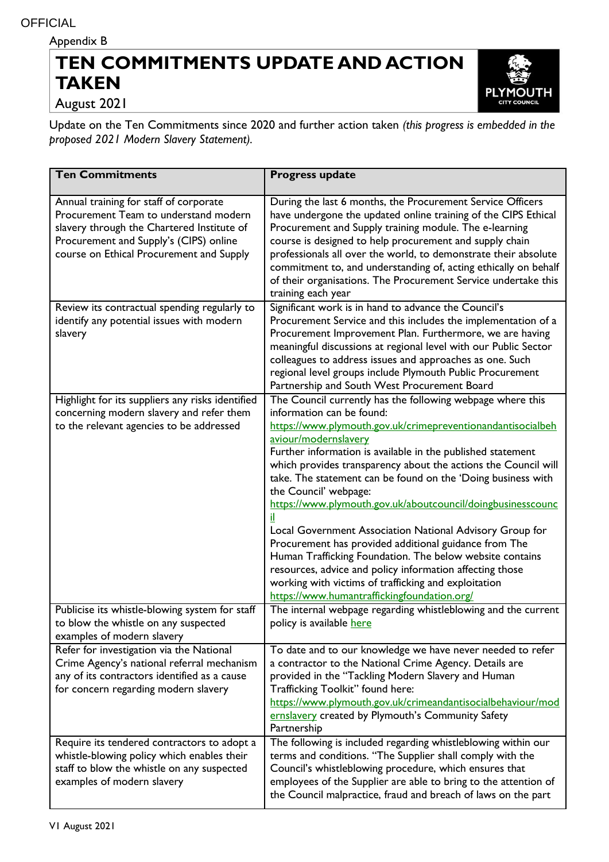Appendix B

## **TEN COMMITMENTS UPDATE AND ACTION TAKEN**



August 2021

Update on the Ten Commitments since 2020 and further action taken *(this progress is embedded in the proposed 2021 Modern Slavery Statement).*

| <b>Ten Commitments</b>                                                                                                                                                                                              | <b>Progress update</b>                                                                                                                                                                                                                                                                                                                                                                                                                                                                                                                                                                                                                                                                                                                                                                                                      |
|---------------------------------------------------------------------------------------------------------------------------------------------------------------------------------------------------------------------|-----------------------------------------------------------------------------------------------------------------------------------------------------------------------------------------------------------------------------------------------------------------------------------------------------------------------------------------------------------------------------------------------------------------------------------------------------------------------------------------------------------------------------------------------------------------------------------------------------------------------------------------------------------------------------------------------------------------------------------------------------------------------------------------------------------------------------|
| Annual training for staff of corporate<br>Procurement Team to understand modern<br>slavery through the Chartered Institute of<br>Procurement and Supply's (CIPS) online<br>course on Ethical Procurement and Supply | During the last 6 months, the Procurement Service Officers<br>have undergone the updated online training of the CIPS Ethical<br>Procurement and Supply training module. The e-learning<br>course is designed to help procurement and supply chain<br>professionals all over the world, to demonstrate their absolute<br>commitment to, and understanding of, acting ethically on behalf<br>of their organisations. The Procurement Service undertake this<br>training each year                                                                                                                                                                                                                                                                                                                                             |
| Review its contractual spending regularly to<br>identify any potential issues with modern<br>slavery                                                                                                                | Significant work is in hand to advance the Council's<br>Procurement Service and this includes the implementation of a<br>Procurement Improvement Plan. Furthermore, we are having<br>meaningful discussions at regional level with our Public Sector<br>colleagues to address issues and approaches as one. Such<br>regional level groups include Plymouth Public Procurement<br>Partnership and South West Procurement Board                                                                                                                                                                                                                                                                                                                                                                                               |
| Highlight for its suppliers any risks identified<br>concerning modern slavery and refer them<br>to the relevant agencies to be addressed                                                                            | The Council currently has the following webpage where this<br>information can be found:<br>https://www.plymouth.gov.uk/crimepreventionandantisocialbeh<br>aviour/modernslavery<br>Further information is available in the published statement<br>which provides transparency about the actions the Council will<br>take. The statement can be found on the 'Doing business with<br>the Council' webpage:<br>https://www.plymouth.gov.uk/aboutcouncil/doingbusinesscounc<br>Local Government Association National Advisory Group for<br>Procurement has provided additional guidance from The<br>Human Trafficking Foundation. The below website contains<br>resources, advice and policy information affecting those<br>working with victims of trafficking and exploitation<br>https://www.humantraffickingfoundation.org/ |
| Publicise its whistle-blowing system for staff<br>to blow the whistle on any suspected<br>examples of modern slavery                                                                                                | The internal webpage regarding whistleblowing and the current<br>policy is available here                                                                                                                                                                                                                                                                                                                                                                                                                                                                                                                                                                                                                                                                                                                                   |
| Refer for investigation via the National<br>Crime Agency's national referral mechanism<br>any of its contractors identified as a cause<br>for concern regarding modern slavery                                      | To date and to our knowledge we have never needed to refer<br>a contractor to the National Crime Agency. Details are<br>provided in the "Tackling Modern Slavery and Human<br>Trafficking Toolkit" found here:<br>https://www.plymouth.gov.uk/crimeandantisocialbehaviour/mod<br>ernslavery created by Plymouth's Community Safety<br>Partnership                                                                                                                                                                                                                                                                                                                                                                                                                                                                           |
| Require its tendered contractors to adopt a<br>whistle-blowing policy which enables their<br>staff to blow the whistle on any suspected<br>examples of modern slavery                                               | The following is included regarding whistleblowing within our<br>terms and conditions. "The Supplier shall comply with the<br>Council's whistleblowing procedure, which ensures that<br>employees of the Supplier are able to bring to the attention of<br>the Council malpractice, fraud and breach of laws on the part                                                                                                                                                                                                                                                                                                                                                                                                                                                                                                    |